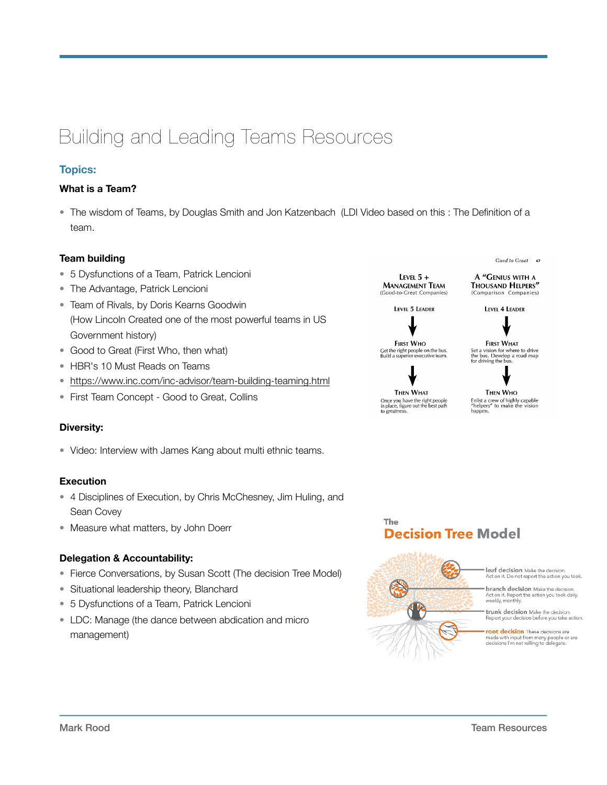# Building and Leading Teams Resources

## **Topics:**

## **What is a Team?**

• The wisdom of Teams, by Douglas Smith and Jon Katzenbach (LDI Video based on this : The Definition of a team.

## **Team building**

- 5 Dysfunctions of a Team, Patrick Lencioni
- The Advantage, Patrick Lencioni
- Team of Rivals, by Doris Kearns Goodwin (How Lincoln Created one of the most powerful teams in US Government history)
- Good to Great (First Who, then what)
- HBR's 10 Must Reads on Teams
- <https://www.inc.com/inc-advisor/team-building-teaming.html>
- First Team Concept Good to Great, Collins

## **Diversity:**

• Video: Interview with James Kang about multi ethnic teams.

## **Execution**

- 4 Disciplines of Execution, by Chris McChesney, Jim Huling, and Sean Covey
- Measure what matters, by John Doerr

## **Delegation & Accountability:**

- Fierce Conversations, by Susan Scott (The decision Tree Model)
- Situational leadership theory, Blanchard
- 5 Dysfunctions of a Team, Patrick Lencioni
- LDC: Manage (the dance between abdication and micro management)

LEVEL  $5 +$ **MANAGEMENT TEAM** (Good-to-Great Compa

LEVEL 5 LEADER

**FIRST WHO** Get the right people on the bus.<br>Build a superior executive team.



The

Once you have the right people<br>in place, figure out the best path<br>to greatness.

Cood to Creat 47

A "GENIUS WITH A THOUSAND HELPERS" (Comparison Companies)

LEVEL 4 LEADER

**FIRST WHAT** FIRST WHAT<br>Set a vision for where to drive<br>the bus. Develop a road map<br>for driving the bus.

**Decision Tree Model** 

THEN WHO Filist a crew of highly capable<br>"helpers" to make the vision happen.



leaf decision Make the decision. Act on it. Do not report the action you took

**branch decision** Make the decision Act on it. Report the action you took daily,<br>weekly, monthly.

trunk decision Make the decision.<br>Report your decision before you take action.

root decision These decisions are made with input from many people c<br>decisions I'm not willing to delegate. le or are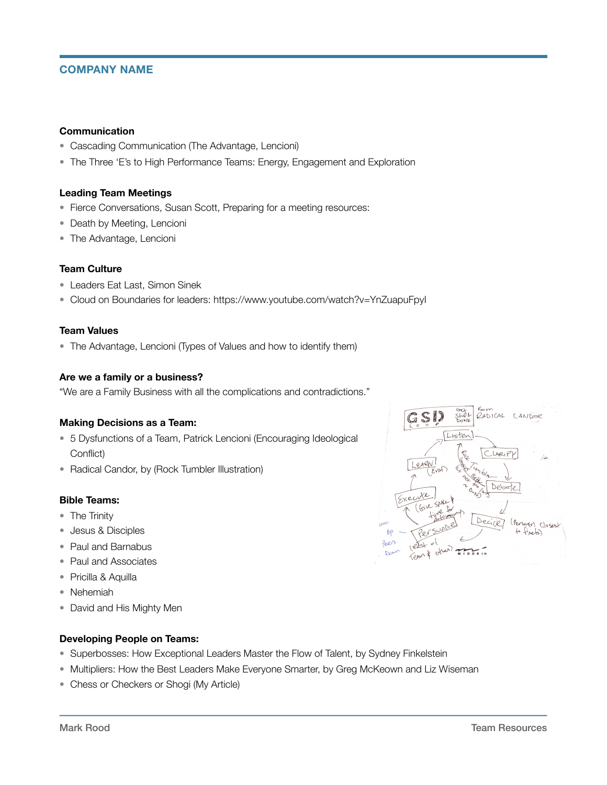## **COMPANY NAME**

#### **Communication**

- Cascading Communication (The Advantage, Lencioni)
- The Three 'E's to High Performance Teams: Energy, Engagement and Exploration

#### **Leading Team Meetings**

- Fierce Conversations, Susan Scott, Preparing for a meeting resources:
- Death by Meeting, Lencioni
- The Advantage, Lencioni

#### **Team Culture**

- Leaders Eat Last, Simon Sinek
- Cloud on Boundaries for leaders: https://www.youtube.com/watch?v=YnZuapuFpyI

#### **Team Values**

• The Advantage, Lencioni (Types of Values and how to identify them)

#### **Are we a family or a business?**

"We are a Family Business with all the complications and contradictions."

#### **Making Decisions as a Team:**

- 5 Dysfunctions of a Team, Patrick Lencioni (Encouraging Ideological Conflict)
- Radical Candor, by (Rock Tumbler Illustration)

#### **Bible Teams:**

- The Trinity
- Jesus & Disciples
- Paul and Barnabus
- Paul and Associates
- Pricilla & Aquilla
- Nehemiah
- David and His Mighty Men

#### **Developing People on Teams:**

- Superbosses: How Exceptional Leaders Master the Flow of Talent, by Sydney Finkelstein
- Multipliers: How the Best Leaders Make Everyone Smarter, by Greg McKeown and Liz Wiseman
- Chess or Checkers or Shogi (My Article)